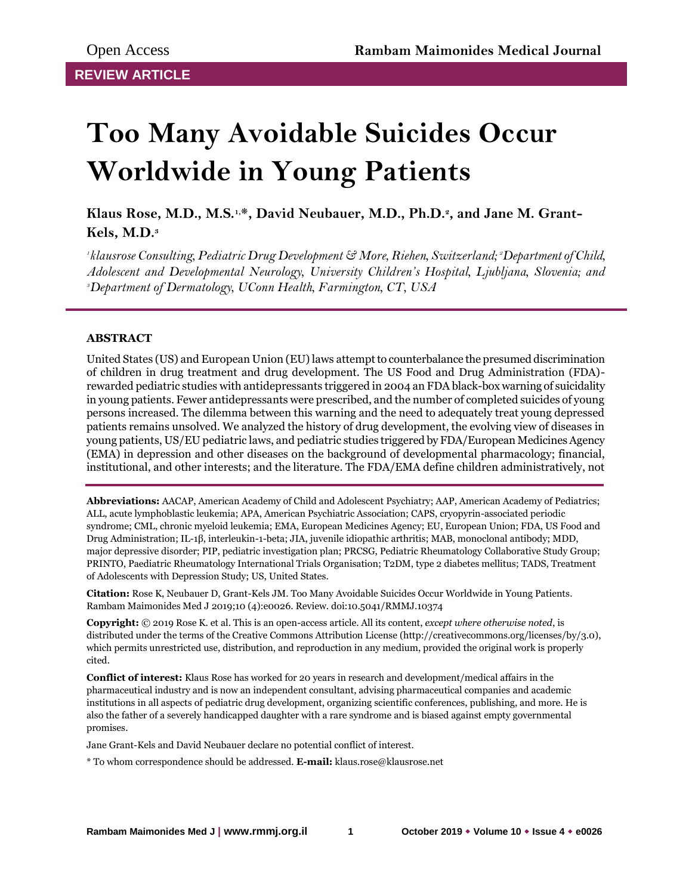# **Too Many Avoidable Suicides Occur Worldwide in Young Patients**

**Klaus Rose, M.D., M.S.1,\*, David Neubauer, M.D., Ph.D.<sup>2</sup> , and Jane M. Grant-Kels, M.D.<sup>3</sup>**

*1 klausrose Consulting, Pediatric Drug Development & More, Riehen, Switzerland; 2Department of Child, Adolescent and Developmental Neurology, University Children's Hospital, Ljubljana, Slovenia; and <sup>3</sup>Department of Dermatology, UConn Health, Farmington, CT, USA*

# **ABSTRACT**

United States (US) and European Union (EU) laws attempt to counterbalance the presumed discrimination of children in drug treatment and drug development. The US Food and Drug Administration (FDA) rewarded pediatric studies with antidepressants triggered in 2004 an FDA black-box warning of suicidality in young patients. Fewer antidepressants were prescribed, and the number of completed suicides of young persons increased. The dilemma between this warning and the need to adequately treat young depressed patients remains unsolved. We analyzed the history of drug development, the evolving view of diseases in young patients, US/EU pediatric laws, and pediatric studies triggered by FDA/European Medicines Agency (EMA) in depression and other diseases on the background of developmental pharmacology; financial, institutional, and other interests; and the literature. The FDA/EMA define children administratively, not

**Abbreviations:** AACAP, American Academy of Child and Adolescent Psychiatry; AAP, American Academy of Pediatrics; ALL, acute lymphoblastic leukemia; APA, American Psychiatric Association; CAPS, cryopyrin-associated periodic syndrome; CML, chronic myeloid leukemia; EMA, European Medicines Agency; EU, European Union; FDA, US Food and Drug Administration; IL-1β, interleukin-1-beta; JIA, juvenile idiopathic arthritis; MAB, monoclonal antibody; MDD, major depressive disorder; PIP, pediatric investigation plan; PRCSG, Pediatric Rheumatology Collaborative Study Group; PRINTO, Paediatric Rheumatology International Trials Organisation; T2DM, type 2 diabetes mellitus; TADS, Treatment of Adolescents with Depression Study; US, United States.

**Citation:** Rose K, Neubauer D, Grant-Kels JM. Too Many Avoidable Suicides Occur Worldwide in Young Patients. Rambam Maimonides Med J 2019;10 (4):e0026. Review. doi:10.5041/RMMJ.10374

**Copyright:** © 2019 Rose K. et al. This is an open-access article. All its content, *except where otherwise noted*, is distributed under the terms of the Creative Commons Attribution License (http://creativecommons.org/licenses/by/3.0), which permits unrestricted use, distribution, and reproduction in any medium, provided the original work is properly cited.

**Conflict of interest:** Klaus Rose has worked for 20 years in research and development/medical affairs in the pharmaceutical industry and is now an independent consultant, advising pharmaceutical companies and academic institutions in all aspects of pediatric drug development, organizing scientific conferences, publishing, and more. He is also the father of a severely handicapped daughter with a rare syndrome and is biased against empty governmental promises.

Jane Grant-Kels and David Neubauer declare no potential conflict of interest.

\* To whom correspondence should be addressed. **E-mail:** klaus.rose@klausrose.net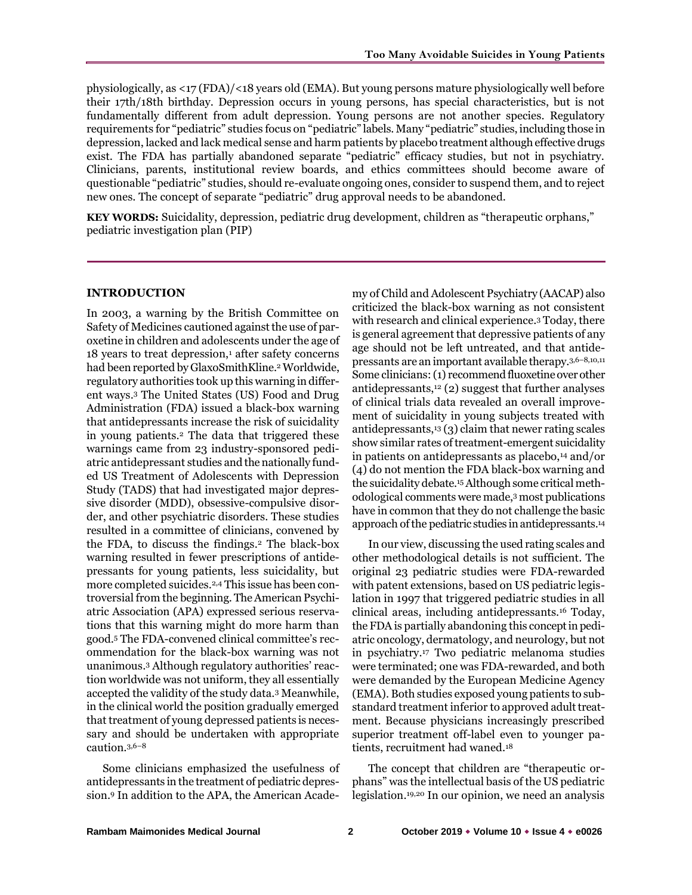physiologically, as <17 (FDA)/<18 years old (EMA). But young persons mature physiologically well before their 17th/18th birthday. Depression occurs in young persons, has special characteristics, but is not fundamentally different from adult depression. Young persons are not another species. Regulatory requirements for "pediatric" studies focus on "pediatric" labels. Many "pediatric" studies, including those in depression, lacked and lack medical sense and harm patients by placebo treatment although effective drugs exist. The FDA has partially abandoned separate "pediatric" efficacy studies, but not in psychiatry. Clinicians, parents, institutional review boards, and ethics committees should become aware of questionable "pediatric" studies, should re-evaluate ongoing ones, consider to suspend them, and to reject new ones. The concept of separate "pediatric" drug approval needs to be abandoned.

**KEY WORDS:** Suicidality, depression, pediatric drug development, children as "therapeutic orphans," pediatric investigation plan (PIP)

### **INTRODUCTION**

In 2003, a warning by the British Committee on Safety of Medicines cautioned against the use of paroxetine in children and adolescents under the age of 18 years to treat depression,<sup>1</sup> after safety concerns had been reported by GlaxoSmithKline.<sup>2</sup> Worldwide, regulatory authorities took up this warning in different ways.<sup>3</sup> The United States (US) Food and Drug Administration (FDA) issued a black-box warning that antidepressants increase the risk of suicidality in young patients.<sup>2</sup> The data that triggered these warnings came from 23 industry-sponsored pediatric antidepressant studies and the nationally funded US Treatment of Adolescents with Depression Study (TADS) that had investigated major depressive disorder (MDD), obsessive-compulsive disorder, and other psychiatric disorders. These studies resulted in a committee of clinicians, convened by the FDA, to discuss the findings.<sup>2</sup> The black-box warning resulted in fewer prescriptions of antidepressants for young patients, less suicidality, but more completed suicides.2,4 This issue has been controversial from the beginning. The American Psychiatric Association (APA) expressed serious reservations that this warning might do more harm than good.<sup>5</sup> The FDA-convened clinical committee's recommendation for the black-box warning was not unanimous.<sup>3</sup> Although regulatory authorities' reaction worldwide was not uniform, they all essentially accepted the validity of the study data.<sup>3</sup> Meanwhile, in the clinical world the position gradually emerged that treatment of young depressed patients is necessary and should be undertaken with appropriate caution.3,6–<sup>8</sup>

Some clinicians emphasized the usefulness of antidepressants in the treatment of pediatric depression.<sup>9</sup> In addition to the APA, the American Academy of Child and Adolescent Psychiatry (AACAP) also criticized the black-box warning as not consistent with research and clinical experience.<sup>3</sup> Today, there is general agreement that depressive patients of any age should not be left untreated, and that antidepressants are an important available therapy.3,6–8,10,11 Some clinicians: (1) recommend fluoxetine over other antidepressants, $12$  (2) suggest that further analyses of clinical trials data revealed an overall improvement of suicidality in young subjects treated with antidepressants,<sup>13</sup> (3) claim that newer rating scales show similar rates of treatment-emergent suicidality in patients on antidepressants as placebo,<sup>14</sup> and/or (4) do not mention the FDA black-box warning and the suicidality debate.15Although some critical methodological comments were made,<sup>3</sup> most publications have in common that they do not challenge the basic approach of the pediatric studies in antidepressants.<sup>14</sup>

In our view, discussing the used rating scales and other methodological details is not sufficient. The original 23 pediatric studies were FDA-rewarded with patent extensions, based on US pediatric legislation in 1997 that triggered pediatric studies in all clinical areas, including antidepressants.<sup>16</sup> Today, the FDA is partially abandoning this concept in pediatric oncology, dermatology, and neurology, but not in psychiatry.<sup>17</sup> Two pediatric melanoma studies were terminated; one was FDA-rewarded, and both were demanded by the European Medicine Agency (EMA). Both studies exposed young patients to substandard treatment inferior to approved adult treatment. Because physicians increasingly prescribed superior treatment off-label even to younger patients, recruitment had waned.<sup>18</sup>

The concept that children are "therapeutic orphans" was the intellectual basis of the US pediatric legislation.19,20 In our opinion, we need an analysis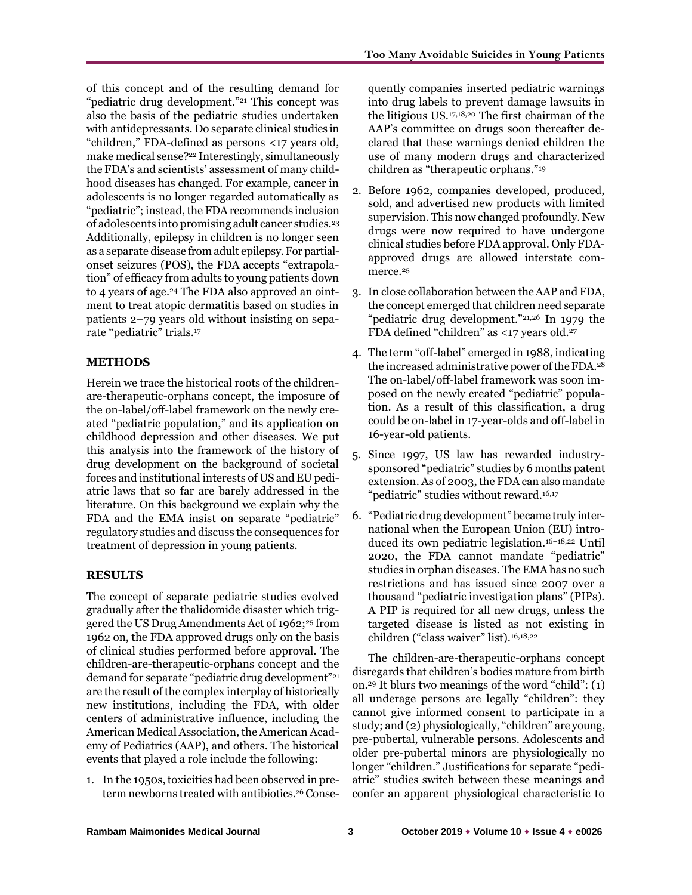of this concept and of the resulting demand for "pediatric drug development."<sup>21</sup> This concept was also the basis of the pediatric studies undertaken with antidepressants. Do separate clinical studies in "children," FDA-defined as persons <17 years old, make medical sense?<sup>22</sup> Interestingly, simultaneously the FDA's and scientists' assessment of many childhood diseases has changed. For example, cancer in adolescents is no longer regarded automatically as "pediatric"; instead, the FDA recommends inclusion of adolescents into promising adult cancer studies.<sup>23</sup> Additionally, epilepsy in children is no longer seen as a separate disease from adult epilepsy. For partialonset seizures (POS), the FDA accepts "extrapolation" of efficacy from adults to young patients down to 4 years of age.<sup>24</sup> The FDA also approved an ointment to treat atopic dermatitis based on studies in patients 2–79 years old without insisting on separate "pediatric" trials.<sup>17</sup>

### **METHODS**

Herein we trace the historical roots of the childrenare-therapeutic-orphans concept, the imposure of the on-label/off-label framework on the newly created "pediatric population," and its application on childhood depression and other diseases. We put this analysis into the framework of the history of drug development on the background of societal forces and institutional interests of US and EU pediatric laws that so far are barely addressed in the literature. On this background we explain why the FDA and the EMA insist on separate "pediatric" regulatory studies and discuss the consequences for treatment of depression in young patients.

## **RESULTS**

The concept of separate pediatric studies evolved gradually after the thalidomide disaster which triggered the US Drug Amendments Act of 1962;<sup>25</sup> from 1962 on, the FDA approved drugs only on the basis of clinical studies performed before approval. The children-are-therapeutic-orphans concept and the demand for separate "pediatric drug development"<sup>21</sup> are the result of the complex interplay of historically new institutions, including the FDA, with older centers of administrative influence, including the American Medical Association, the American Academy of Pediatrics (AAP), and others. The historical events that played a role include the following:

1. In the 1950s, toxicities had been observed in preterm newborns treated with antibiotics.<sup>26</sup> Conse-

quently companies inserted pediatric warnings into drug labels to prevent damage lawsuits in the litigious US.17,18,20 The first chairman of the AAP's committee on drugs soon thereafter declared that these warnings denied children the use of many modern drugs and characterized children as "therapeutic orphans."<sup>19</sup>

- 2. Before 1962, companies developed, produced, sold, and advertised new products with limited supervision. This now changed profoundly. New drugs were now required to have undergone clinical studies before FDA approval. Only FDAapproved drugs are allowed interstate commerce.<sup>25</sup>
- 3. In close collaboration between the AAP and FDA, the concept emerged that children need separate "pediatric drug development."21,26 In 1979 the FDA defined "children" as <17 years old.<sup>27</sup>
- 4. The term "off-label" emerged in 1988, indicating the increased administrative power of the FDA.<sup>28</sup> The on-label/off-label framework was soon imposed on the newly created "pediatric" population. As a result of this classification, a drug could be on-label in 17-year-olds and off-label in 16-year-old patients.
- 5. Since 1997, US law has rewarded industrysponsored "pediatric" studies by 6 months patent extension. As of 2003, the FDA can also mandate "pediatric" studies without reward.16,17
- 6. "Pediatric drug development" became truly international when the European Union (EU) introduced its own pediatric legislation.16–18,22 Until 2020, the FDA cannot mandate "pediatric" studies in orphan diseases. The EMA has no such restrictions and has issued since 2007 over a thousand "pediatric investigation plans" (PIPs). A PIP is required for all new drugs, unless the targeted disease is listed as not existing in children ("class waiver" list).16,18,22

The children-are-therapeutic-orphans concept disregards that children's bodies mature from birth on.<sup>29</sup> It blurs two meanings of the word "child": (1) all underage persons are legally "children": they cannot give informed consent to participate in a study; and (2) physiologically, "children" are young, pre-pubertal, vulnerable persons. Adolescents and older pre-pubertal minors are physiologically no longer "children." Justifications for separate "pediatric" studies switch between these meanings and confer an apparent physiological characteristic to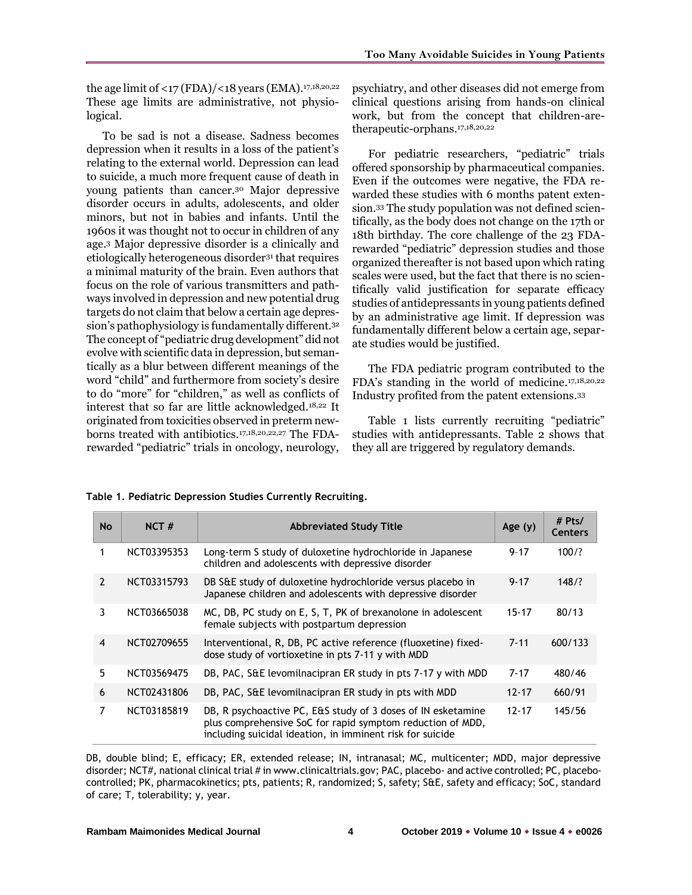the age limit of <17 (FDA)/<18 years (EMA). $17,18,20,22$ These age limits are administrative, not physiological.

To be sad is not a disease. Sadness becomes depression when it results in a loss of the patient's relating to the external world. Depression can lead to suicide, a much more frequent cause of death in young patients than cancer.<sup>30</sup> Major depressive disorder occurs in adults, adolescents, and older minors, but not in babies and infants. Until the 1960s it was thought not to occur in children of any age.<sup>3</sup> Major depressive disorder is a clinically and etiologically heterogeneous disorder<sup>31</sup> that requires a minimal maturity of the brain. Even authors that focus on the role of various transmitters and pathways involved in depression and new potential drug targets do not claim that below a certain age depression's pathophysiology is fundamentally different.<sup>32</sup> The concept of "pediatric drug development" did not evolve with scientific data in depression, but semantically as a blur between different meanings of the word "child" and furthermore from society's desire to do "more" for "children," as well as conflicts of interest that so far are little acknowledged.18,22 It originated from toxicities observed in preterm newborns treated with antibiotics.17,18,20,22,27 The FDArewarded "pediatric" trials in oncology, neurology,

psychiatry, and other diseases did not emerge from clinical questions arising from hands-on clinical work, but from the concept that children-aretherapeutic-orphans.17,18,20,22

For pediatric researchers, "pediatric" trials offered sponsorship by pharmaceutical companies. Even if the outcomes were negative, the FDA rewarded these studies with 6 months patent extension.<sup>33</sup> The study population was not defined scientifically, as the body does not change on the 17th or 18th birthday. The core challenge of the 23 FDArewarded "pediatric" depression studies and those organized thereafter is not based upon which rating scales were used, but the fact that there is no scientifically valid justification for separate efficacy studies of antidepressants in young patients defined by an administrative age limit. If depression was fundamentally different below a certain age, separate studies would be justified.

The FDA pediatric program contributed to the FDA's standing in the world of medicine.17,18,20,22 Industry profited from the patent extensions.<sup>33</sup>

Table 1 lists currently recruiting "pediatric" studies with antidepressants. Table 2 shows that they all are triggered by regulatory demands.

| <b>No</b>      | NCT#        | <b>Abbreviated Study Title</b>                                                                                                                                                          | Age $(y)$ | # Pts/<br><b>Centers</b> |
|----------------|-------------|-----------------------------------------------------------------------------------------------------------------------------------------------------------------------------------------|-----------|--------------------------|
| 1              | NCT03395353 | Long-term S study of duloxetine hydrochloride in Japanese<br>children and adolescents with depressive disorder                                                                          | $9 - 17$  | 100/?                    |
| $\overline{2}$ | NCT03315793 | DB S&E study of duloxetine hydrochloride versus placebo in<br>Japanese children and adolescents with depressive disorder                                                                | $9 - 17$  | 148/?                    |
| 3              | NCT03665038 | MC, DB, PC study on E, S, T, PK of brexanolone in adolescent<br>female subjects with postpartum depression                                                                              |           | 80/13                    |
| $\overline{4}$ | NCT02709655 | Interventional, R, DB, PC active reference (fluoxetine) fixed-<br>dose study of vortioxetine in pts 7-11 y with MDD                                                                     |           | 600/133                  |
| 5.             | NCT03569475 | DB, PAC, S&E levomilnacipran ER study in pts 7-17 y with MDD                                                                                                                            | $7 - 17$  | 480/46                   |
| 6              | NCT02431806 | DB, PAC, S&E levomilnacipran ER study in pts with MDD                                                                                                                                   | $12 - 17$ | 660/91                   |
| 7              | NCT03185819 | DB, R psychoactive PC, E&S study of 3 doses of IN esketamine<br>plus comprehensive SoC for rapid symptom reduction of MDD,<br>including suicidal ideation, in imminent risk for suicide | $12 - 17$ | 145/56                   |

#### **Table 1. Pediatric Depression Studies Currently Recruiting.**

DB, double blind; E, efficacy; ER, extended release; IN, intranasal; MC, multicenter; MDD, major depressive disorder; NCT#, national clinical trial # in www.clinicaltrials.gov; PAC, placebo- and active controlled; PC, placebocontrolled; PK, pharmacokinetics; pts, patients; R, randomized; S, safety; S&E, safety and efficacy; SoC, standard of care; T, tolerability; y, year.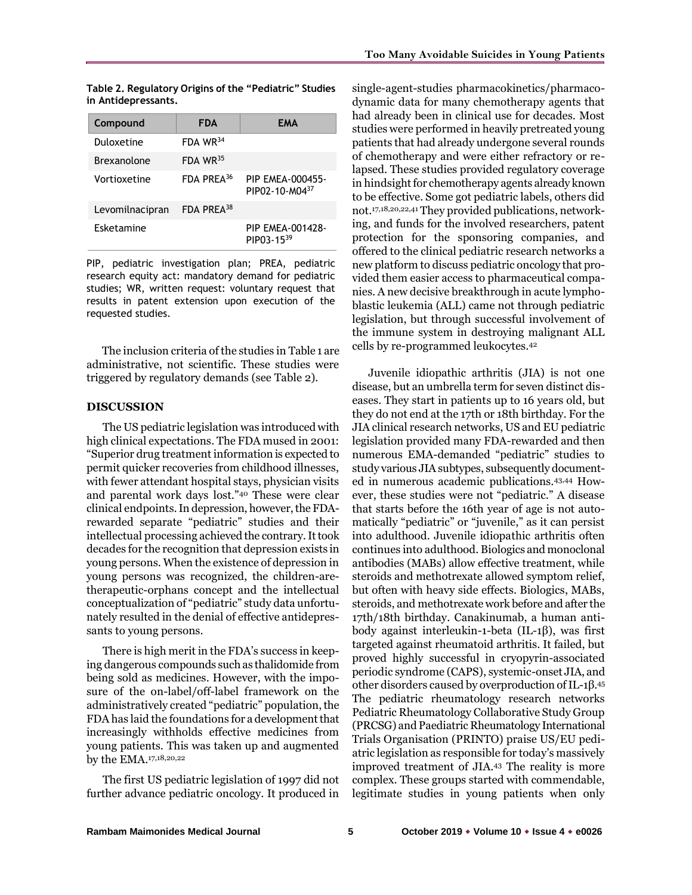|  | Too Many Avoidable Suicides in Young Patients |  |  |
|--|-----------------------------------------------|--|--|
|  |                                               |  |  |

**Table 2. Regulatory Origins of the "Pediatric" Studies in Antidepressants.**

| Compound           | <b>FDA</b>             | FMA                                       |
|--------------------|------------------------|-------------------------------------------|
| Duloxetine         | FDA WR <sup>34</sup>   |                                           |
| <b>Brexanolone</b> | FDA WR <sup>35</sup>   |                                           |
| Vortioxetine       | FDA PREA <sup>36</sup> | PIP EMEA-000455-<br>PIP02-10-M0437        |
| Levomilnacipran    | FDA PREA <sup>38</sup> |                                           |
| Esketamine         |                        | <b>PIP EMEA-001428-</b><br>$PIP03 - 1539$ |

PIP, pediatric investigation plan; PREA, pediatric research equity act: mandatory demand for pediatric studies; WR, written request: voluntary request that results in patent extension upon execution of the requested studies.

 The inclusion criteria of the studies in Table 1 are administrative, not scientific. These studies were triggered by regulatory demands (see Table 2).

#### **DISCUSSION**

The US pediatric legislation was introduced with high clinical expectations. The FDA mused in 2001: "Superior drug treatment information is expected to permit quicker recoveries from childhood illnesses, with fewer attendant hospital stays, physician visits and parental work days lost."<sup>40</sup> These were clear clinical endpoints. In depression, however, the FDArewarded separate "pediatric" studies and their intellectual processing achieved the contrary. It took decades for the recognition that depression exists in young persons. When the existence of depression in young persons was recognized, the children-aretherapeutic-orphans concept and the intellectual conceptualization of "pediatric" study data unfortunately resulted in the denial of effective antidepressants to young persons.

There is high merit in the FDA's success in keeping dangerous compounds such as thalidomide from being sold as medicines. However, with the imposure of the on-label/off-label framework on the administratively created "pediatric" population, the FDA has laid the foundations for a development that increasingly withholds effective medicines from young patients. This was taken up and augmented by the EMA.17,18,20,22

The first US pediatric legislation of 1997 did not further advance pediatric oncology. It produced in

single-agent-studies pharmacokinetics/pharmacodynamic data for many chemotherapy agents that had already been in clinical use for decades. Most studies were performed in heavily pretreated young patients that had already undergone several rounds of chemotherapy and were either refractory or relapsed. These studies provided regulatory coverage in hindsight for chemotherapy agents already known to be effective. Some got pediatric labels, others did not.17,18,20,22,41 They provided publications, networking, and funds for the involved researchers, patent protection for the sponsoring companies, and offered to the clinical pediatric research networks a new platform to discuss pediatric oncology that provided them easier access to pharmaceutical companies. A new decisive breakthrough in acute lymphoblastic leukemia (ALL) came not through pediatric legislation, but through successful involvement of the immune system in destroying malignant ALL cells by re-programmed leukocytes.<sup>42</sup>

Juvenile idiopathic arthritis (JIA) is not one disease, but an umbrella term for seven distinct diseases. They start in patients up to 16 years old, but they do not end at the 17th or 18th birthday. For the JIA clinical research networks, US and EU pediatric legislation provided many FDA-rewarded and then numerous EMA-demanded "pediatric" studies to study various JIA subtypes, subsequently documented in numerous academic publications.43,44 However, these studies were not "pediatric." A disease that starts before the 16th year of age is not automatically "pediatric" or "juvenile," as it can persist into adulthood. Juvenile idiopathic arthritis often continues into adulthood. Biologics and monoclonal antibodies (MABs) allow effective treatment, while steroids and methotrexate allowed symptom relief, but often with heavy side effects. Biologics, MABs, steroids, and methotrexate work before and after the 17th/18th birthday. Canakinumab, a human antibody against interleukin-1-beta (IL-1β), was first targeted against rheumatoid arthritis. It failed, but proved highly successful in cryopyrin-associated periodic syndrome (CAPS), systemic-onset JIA, and other disorders caused by overproduction of IL-1β. 45 The pediatric rheumatology research networks Pediatric Rheumatology Collaborative Study Group (PRCSG) and Paediatric Rheumatology International Trials Organisation (PRINTO) praise US/EU pediatric legislation as responsible for today's massively improved treatment of JIA.<sup>43</sup> The reality is more complex. These groups started with commendable, legitimate studies in young patients when only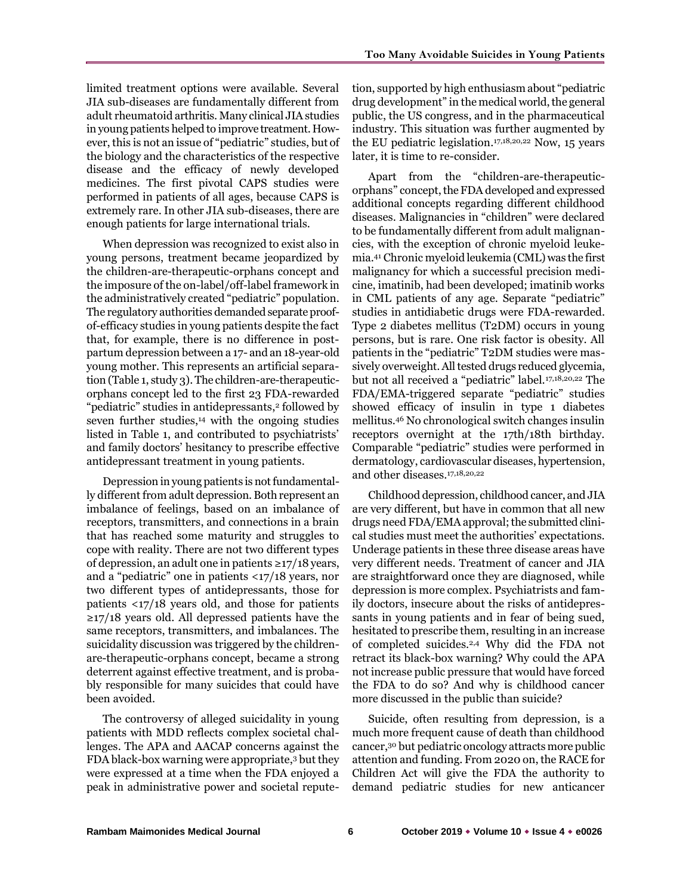limited treatment options were available. Several JIA sub-diseases are fundamentally different from adult rheumatoid arthritis. Many clinical JIA studies in young patients helped to improve treatment. However, this is not an issue of "pediatric" studies, but of the biology and the characteristics of the respective disease and the efficacy of newly developed medicines. The first pivotal CAPS studies were performed in patients of all ages, because CAPS is extremely rare. In other JIA sub-diseases, there are enough patients for large international trials.

When depression was recognized to exist also in young persons, treatment became jeopardized by the children-are-therapeutic-orphans concept and the imposure of the on-label/off-label framework in the administratively created "pediatric" population. The regulatory authorities demanded separate proofof-efficacy studies in young patients despite the fact that, for example, there is no difference in postpartum depression between a 17- and an 18-year-old young mother. This represents an artificial separation (Table 1, study 3). The children-are-therapeuticorphans concept led to the first 23 FDA-rewarded "pediatric" studies in antidepressants,<sup>2</sup> followed by seven further studies, $14$  with the ongoing studies listed in Table 1, and contributed to psychiatrists' and family doctors' hesitancy to prescribe effective antidepressant treatment in young patients.

Depression in young patients is not fundamentally different from adult depression. Both represent an imbalance of feelings, based on an imbalance of receptors, transmitters, and connections in a brain that has reached some maturity and struggles to cope with reality. There are not two different types of depression, an adult one in patients ≥17/18 years, and a "pediatric" one in patients <17/18 years, nor two different types of antidepressants, those for patients <17/18 years old, and those for patients  $\geq$ 17/18 years old. All depressed patients have the same receptors, transmitters, and imbalances. The suicidality discussion was triggered by the childrenare-therapeutic-orphans concept, became a strong deterrent against effective treatment, and is probably responsible for many suicides that could have been avoided.

The controversy of alleged suicidality in young patients with MDD reflects complex societal challenges. The APA and AACAP concerns against the FDA black-box warning were appropriate,<sup>3</sup> but they were expressed at a time when the FDA enjoyed a peak in administrative power and societal reputetion, supported by high enthusiasm about "pediatric drug development" in the medical world, the general public, the US congress, and in the pharmaceutical industry. This situation was further augmented by the EU pediatric legislation.17,18,20,22 Now, 15 years later, it is time to re-consider.

Apart from the "children-are-therapeuticorphans" concept, the FDA developed and expressed additional concepts regarding different childhood diseases. Malignancies in "children" were declared to be fundamentally different from adult malignancies, with the exception of chronic myeloid leukemia.<sup>41</sup> Chronic myeloid leukemia (CML) was the first malignancy for which a successful precision medicine, imatinib, had been developed; imatinib works in CML patients of any age. Separate "pediatric" studies in antidiabetic drugs were FDA-rewarded. Type 2 diabetes mellitus (T2DM) occurs in young persons, but is rare. One risk factor is obesity. All patients in the "pediatric" T2DM studies were massively overweight. All tested drugs reduced glycemia, but not all received a "pediatric" label.17,18,20,22 The FDA/EMA-triggered separate "pediatric" studies showed efficacy of insulin in type 1 diabetes mellitus.<sup>46</sup> No chronological switch changes insulin receptors overnight at the 17th/18th birthday. Comparable "pediatric" studies were performed in dermatology, cardiovascular diseases, hypertension, and other diseases.17,18,20,22

Childhood depression, childhood cancer, and JIA are very different, but have in common that all new drugs need FDA/EMA approval; the submitted clinical studies must meet the authorities' expectations. Underage patients in these three disease areas have very different needs. Treatment of cancer and JIA are straightforward once they are diagnosed, while depression is more complex. Psychiatrists and family doctors, insecure about the risks of antidepressants in young patients and in fear of being sued, hesitated to prescribe them, resulting in an increase of completed suicides.2,4 Why did the FDA not retract its black-box warning? Why could the APA not increase public pressure that would have forced the FDA to do so? And why is childhood cancer more discussed in the public than suicide?

Suicide, often resulting from depression, is a much more frequent cause of death than childhood cancer,<sup>30</sup> but pediatric oncology attracts more public attention and funding. From 2020 on, the RACE for Children Act will give the FDA the authority to demand pediatric studies for new anticancer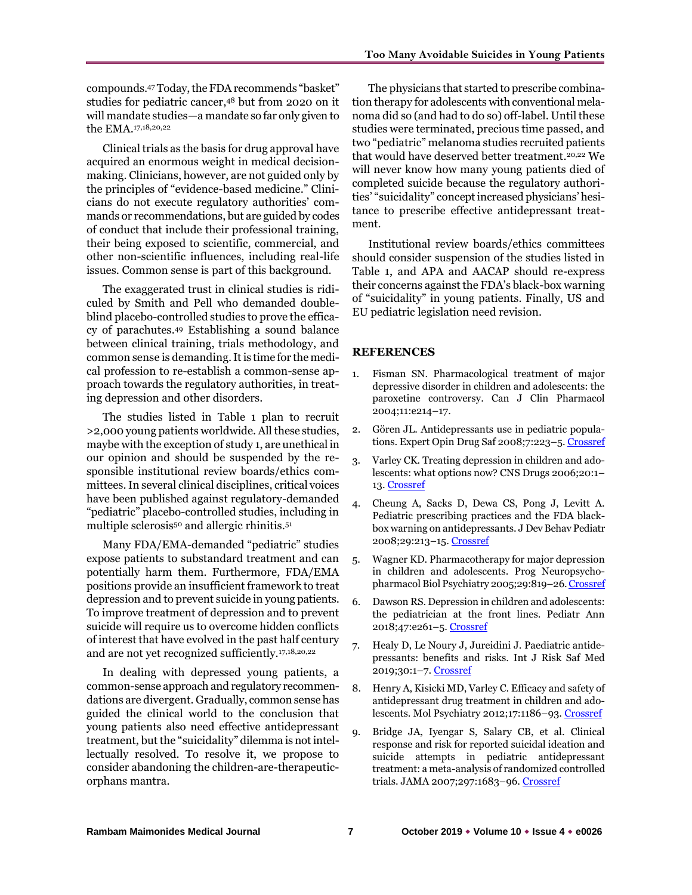compounds.<sup>47</sup> Today, the FDA recommends "basket" studies for pediatric cancer,<sup>48</sup> but from 2020 on it will mandate studies—a mandate so far only given to the EMA.17,18,20,22

Clinical trials as the basis for drug approval have acquired an enormous weight in medical decisionmaking. Clinicians, however, are not guided only by the principles of "evidence-based medicine." Clinicians do not execute regulatory authorities' commands or recommendations, but are guided by codes of conduct that include their professional training, their being exposed to scientific, commercial, and other non-scientific influences, including real-life issues. Common sense is part of this background.

The exaggerated trust in clinical studies is ridiculed by Smith and Pell who demanded doubleblind placebo-controlled studies to prove the efficacy of parachutes. <sup>49</sup> Establishing a sound balance between clinical training, trials methodology, and common sense is demanding. It is time for the medical profession to re-establish a common-sense approach towards the regulatory authorities, in treating depression and other disorders.

The studies listed in Table 1 plan to recruit >2,000 young patients worldwide. All these studies, maybe with the exception of study 1, are unethical in our opinion and should be suspended by the responsible institutional review boards/ethics committees. In several clinical disciplines, critical voices have been published against regulatory-demanded "pediatric" placebo-controlled studies, including in multiple sclerosis<sup>50</sup> and allergic rhinitis.<sup>51</sup>

Many FDA/EMA-demanded "pediatric" studies expose patients to substandard treatment and can potentially harm them. Furthermore, FDA/EMA positions provide an insufficient framework to treat depression and to prevent suicide in young patients. To improve treatment of depression and to prevent suicide will require us to overcome hidden conflicts of interest that have evolved in the past half century and are not yet recognized sufficiently.17,18,20,22

In dealing with depressed young patients, a common-sense approach and regulatory recommendations are divergent. Gradually, common sense has guided the clinical world to the conclusion that young patients also need effective antidepressant treatment, but the "suicidality" dilemma is not intellectually resolved. To resolve it, we propose to consider abandoning the children-are-therapeuticorphans mantra.

The physicians that started to prescribe combination therapy for adolescents with conventional melanoma did so (and had to do so) off-label. Until these studies were terminated, precious time passed, and two "pediatric" melanoma studies recruited patients that would have deserved better treatment.<sup>20,22</sup> We will never know how many young patients died of completed suicide because the regulatory authorities' "suicidality" concept increased physicians' hesitance to prescribe effective antidepressant treatment.

Institutional review boards/ethics committees should consider suspension of the studies listed in Table 1, and APA and AACAP should re-express their concerns against the FDA's black-box warning of "suicidality" in young patients. Finally, US and EU pediatric legislation need revision.

#### **REFERENCES**

- 1. Fisman SN. Pharmacological treatment of major depressive disorder in children and adolescents: the paroxetine controversy. Can J Clin Pharmacol 2004;11:e214–17.
- 2. Gören JL. Antidepressants use in pediatric popula-tions. Expert Opin Drug Saf 2008;7:223-5[. Crossref](https://doi.org/10.1517/14740338.7.3.223)
- 3. Varley CK. Treating depression in children and adolescents: what options now? CNS Drugs 2006;20:1– 13. [Crossref](https://doi.org/10.2165/00023210-200620010-00001)
- 4. Cheung A, Sacks D, Dewa CS, Pong J, Levitt A. Pediatric prescribing practices and the FDA blackbox warning on antidepressants. J Dev Behav Pediatr 2008;29:213–15[. Crossref](https://doi.org/10.1097/DBP.0b013e31817bd7c9)
- 5. Wagner KD. Pharmacotherapy for major depression in children and adolescents. Prog Neuropsychopharmacol Biol Psychiatry 2005;29:819–26[. Crossref](https://doi.org/10.1016/j.pnpbp.2005.03.005)
- 6. Dawson RS. Depression in children and adolescents: the pediatrician at the front lines. Pediatr Ann 2018;47:e261–5. [Crossref](https://doi.org/10.3928/19382359-20180618-01)
- 7. Healy D, Le Noury J, Jureidini J. Paediatric antidepressants: benefits and risks. Int J Risk Saf Med 2019;30:1–7. [Crossref](https://doi.org/10.3233/JRS-180746)
- 8. Henry A, Kisicki MD, Varley C. Efficacy and safety of antidepressant drug treatment in children and adolescents. Mol Psychiatry 2012;17:1186–93. [Crossref](https://doi.org/10.1038/mp.2011.150)
- 9. Bridge JA, Iyengar S, Salary CB, et al. Clinical response and risk for reported suicidal ideation and suicide attempts in pediatric antidepressant treatment: a meta-analysis of randomized controlled trials. JAMA 2007;297:1683–96[. Crossref](https://doi.org/10.1001/jama.297.15.1683)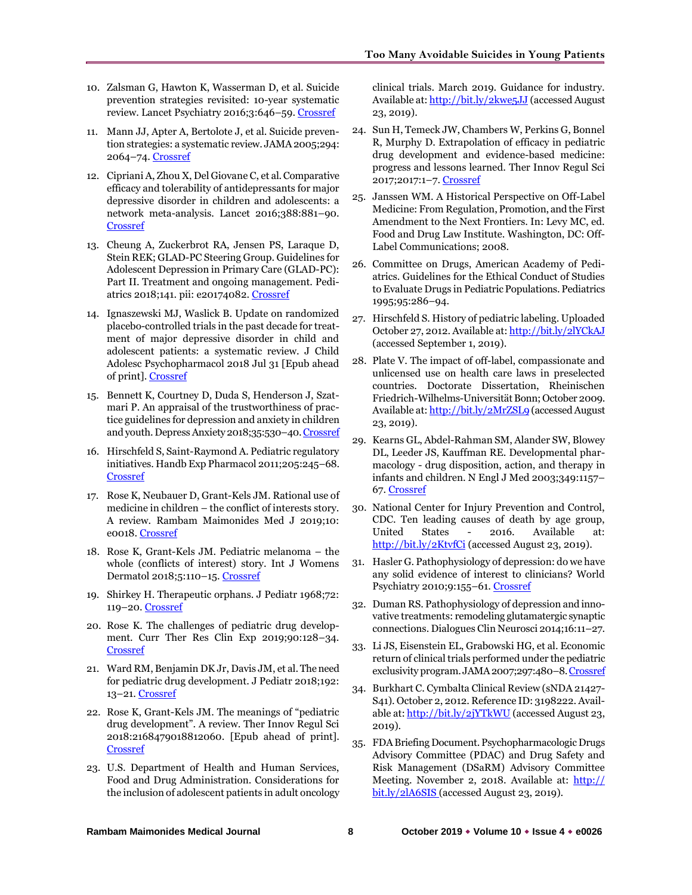- 10. Zalsman G, Hawton K, Wasserman D, et al. Suicide prevention strategies revisited: 10-year systematic review. Lancet Psychiatry 2016;3:646–59[. Crossref](https://doi.org/10.1016/S2215-0366(16)30030-X)
- 11. Mann JJ, Apter A, Bertolote J, et al. Suicide prevention strategies: a systematic review. JAMA2005;294: 2064–74[. Crossref](https://doi.org/10.1001/jama.294.16.2064)
- 12. Cipriani A, Zhou X, Del Giovane C, et al. Comparative efficacy and tolerability of antidepressants for major depressive disorder in children and adolescents: a network meta-analysis. Lancet 2016;388:881–90. [Crossref](https://doi.org/10.1016/S0140-6736(16)30385-3)
- 13. Cheung A, Zuckerbrot RA, Jensen PS, Laraque D, Stein REK; GLAD-PC Steering Group. Guidelines for Adolescent Depression in Primary Care (GLAD-PC): Part II. Treatment and ongoing management. Pediatrics 2018;141. pii: e20174082. [Crossref](https://doi.org/10.1542/peds.2017-4082)
- 14. Ignaszewski MJ, Waslick B. Update on randomized placebo-controlled trials in the past decade for treatment of major depressive disorder in child and adolescent patients: a systematic review. J Child Adolesc Psychopharmacol 2018 Jul 31 [Epub ahead of print][. Crossref](https://doi.org/10.1089/cap.2017.0174)
- 15. Bennett K, Courtney D, Duda S, Henderson J, Szatmari P. An appraisal of the trustworthiness of practice guidelines for depression and anxiety in children and youth. Depress Anxiety 2018;35:530–40[. Crossref](https://doi.org/10.1002/da.22752)
- 16. Hirschfeld S, Saint-Raymond A. Pediatric regulatory initiatives. Handb Exp Pharmacol 2011;205:245–68. **[Crossref](https://doi.org/10.1007/978-3-642-20195-0_12)**
- 17. Rose K, Neubauer D, Grant-Kels JM. Rational use of medicine in children – the conflict of interests story. A review. Rambam Maimonides Med J 2019;10: e0018. [Crossref](https://doi.org/10.5041/RMMJ.10371)
- 18. Rose K, Grant-Kels JM. Pediatric melanoma the whole (conflicts of interest) story. Int J Womens Dermatol 2018;5:110–15. [Crossref](https://doi.org/10.1016/j.ijwd.2018.10.020)
- 19. Shirkey H. Therapeutic orphans. J Pediatr 1968;72: 119–20[. Crossref](https://doi.org/10.1016/S0022-3476(68)80414-7)
- 20. Rose K. The challenges of pediatric drug development. Curr Ther Res Clin Exp 2019;90:128–34. [Crossref](https://doi.org/10.1016/j.curtheres.2019.01.007)
- 21. Ward RM, Benjamin DK Jr, Davis JM, et al. The need for pediatric drug development. J Pediatr 2018;192: 13–21[. Crossref](https://doi.org/10.1016/j.jpeds.2017.08.011)
- 22. Rose K, Grant-Kels JM. The meanings of "pediatric drug development". A review. Ther Innov Regul Sci 2018:2168479018812060. [Epub ahead of print]. [Crossref](https://doi.org/10.1177%2F2168479018812060)
- 23. U.S. Department of Health and Human Services, Food and Drug Administration. Considerations for the inclusion of adolescent patients in adult oncology

clinical trials. March 2019. Guidance for industry. Available at[: http://bit.ly/2kwe5JJ](http://bit.ly/2kwe5JJ) (accessed August 23, 2019).

- 24. Sun H, Temeck JW, Chambers W, Perkins G, Bonnel R, Murphy D. Extrapolation of efficacy in pediatric drug development and evidence-based medicine: progress and lessons learned. Ther Innov Regul Sci 2017;2017:1–7. [Crossref](https://doi.org/10.1177/2168479017725558)
- 25. Janssen WM. A Historical Perspective on Off-Label Medicine: From Regulation, Promotion, and the First Amendment to the Next Frontiers. In: Levy MC, ed. Food and Drug Law Institute. Washington, DC: Off-Label Communications; 2008.
- 26. Committee on Drugs, American Academy of Pediatrics. Guidelines for the Ethical Conduct of Studies to Evaluate Drugs in Pediatric Populations. Pediatrics 1995;95:286–94.
- 27. Hirschfeld S. History of pediatric labeling. Uploaded October 27, 2012. Available at[: http://bit.ly/2lYCkAJ](http://bit.ly/2lYCkAJ) (accessed September 1, 2019).
- 28. Plate V. The impact of off-label, compassionate and unlicensed use on health care laws in preselected countries. Doctorate Dissertation, Rheinischen Friedrich-Wilhelms-Universität Bonn; October 2009. Available at[: http://bit.ly/2MrZSL9](http://bit.ly/2MrZSL9) (accessed August 23, 2019).
- 29. Kearns GL, Abdel-Rahman SM, Alander SW, Blowey DL, Leeder JS, Kauffman RE. Developmental pharmacology - drug disposition, action, and therapy in infants and children. N Engl J Med 2003;349:1157– 67. [Crossref](https://doi.org/10.1056/NEJMra035092)
- 30. National Center for Injury Prevention and Control, CDC. Ten leading causes of death by age group, United States - 2016. Available at: <http://bit.ly/2KtvfCi> (accessed August 23, 2019).
- 31. Hasler G. Pathophysiology of depression: do we have any solid evidence of interest to clinicians? World Psychiatry 2010;9:155–61[. Crossref](https://doi.org/10.1002/j.2051-5545.2010.tb00298.x)
- 32. Duman RS. Pathophysiology of depression and innovative treatments: remodeling glutamatergic synaptic connections. Dialogues Clin Neurosci 2014;16:11–27.
- 33. Li JS, Eisenstein EL, Grabowski HG, et al. Economic return of clinical trials performed under the pediatric exclusivity program. JAMA 2007;297:480–8[. Crossref](https://doi.org/10.1001/jama.297.5.480)
- 34. Burkhart C. Cymbalta Clinical Review (sNDA 21427- S41). October 2, 2012. Reference ID: 3198222. Available at[: http://bit.ly/2jYTkWU](http://bit.ly/2jYTkWU) (accessed August 23, 2019).
- 35. FDA Briefing Document. Psychopharmacologic Drugs Advisory Committee (PDAC) and Drug Safety and Risk Management (DSaRM) Advisory Committee Meeting. November 2, 2018. Available at: http:// bit.ly/2lA6SIS (accessed August 23, 2019).